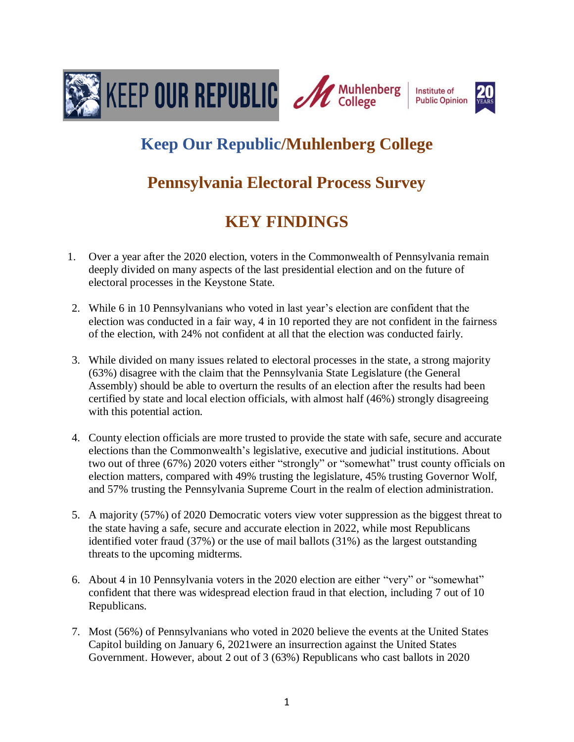

# **Keep Our Republic/Muhlenberg College**

## **Pennsylvania Electoral Process Survey**

# **KEY FINDINGS**

- 1. Over a year after the 2020 election, voters in the Commonwealth of Pennsylvania remain deeply divided on many aspects of the last presidential election and on the future of electoral processes in the Keystone State.
- 2. While 6 in 10 Pennsylvanians who voted in last year's election are confident that the election was conducted in a fair way, 4 in 10 reported they are not confident in the fairness of the election, with 24% not confident at all that the election was conducted fairly.
- 3. While divided on many issues related to electoral processes in the state, a strong majority (63%) disagree with the claim that the Pennsylvania State Legislature (the General Assembly) should be able to overturn the results of an election after the results had been certified by state and local election officials, with almost half (46%) strongly disagreeing with this potential action.
- 4. County election officials are more trusted to provide the state with safe, secure and accurate elections than the Commonwealth's legislative, executive and judicial institutions. About two out of three (67%) 2020 voters either "strongly" or "somewhat" trust county officials on election matters, compared with 49% trusting the legislature, 45% trusting Governor Wolf, and 57% trusting the Pennsylvania Supreme Court in the realm of election administration.
- 5. A majority (57%) of 2020 Democratic voters view voter suppression as the biggest threat to the state having a safe, secure and accurate election in 2022, while most Republicans identified voter fraud (37%) or the use of mail ballots (31%) as the largest outstanding threats to the upcoming midterms.
- 6. About 4 in 10 Pennsylvania voters in the 2020 election are either "very" or "somewhat" confident that there was widespread election fraud in that election, including 7 out of 10 Republicans.
- 7. Most (56%) of Pennsylvanians who voted in 2020 believe the events at the United States Capitol building on January 6, 2021were an insurrection against the United States Government. However, about 2 out of 3 (63%) Republicans who cast ballots in 2020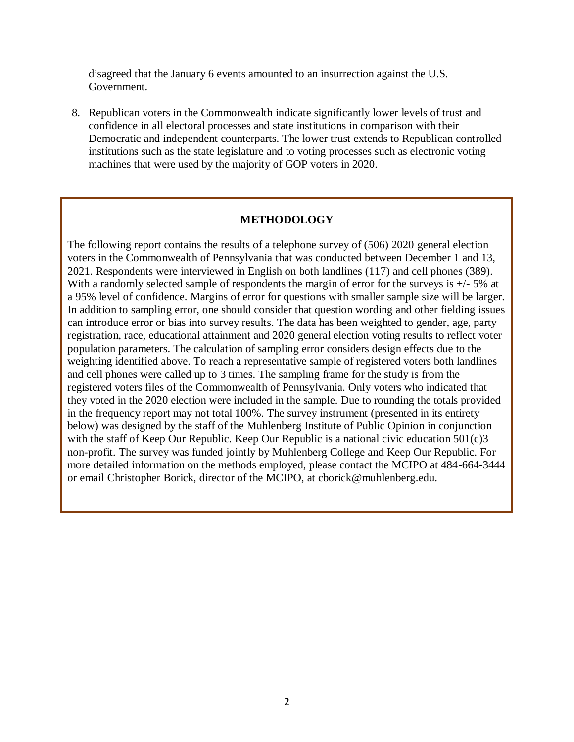disagreed that the January 6 events amounted to an insurrection against the U.S. Government.

8. Republican voters in the Commonwealth indicate significantly lower levels of trust and confidence in all electoral processes and state institutions in comparison with their Democratic and independent counterparts. The lower trust extends to Republican controlled institutions such as the state legislature and to voting processes such as electronic voting machines that were used by the majority of GOP voters in 2020.

#### **METHODOLOGY**

The following report contains the results of a telephone survey of (506) 2020 general election voters in the Commonwealth of Pennsylvania that was conducted between December 1 and 13, 2021. Respondents were interviewed in English on both landlines (117) and cell phones (389). With a randomly selected sample of respondents the margin of error for the surveys is  $+/-5\%$  at a 95% level of confidence. Margins of error for questions with smaller sample size will be larger. In addition to sampling error, one should consider that question wording and other fielding issues can introduce error or bias into survey results. The data has been weighted to gender, age, party registration, race, educational attainment and 2020 general election voting results to reflect voter population parameters. The calculation of sampling error considers design effects due to the weighting identified above. To reach a representative sample of registered voters both landlines and cell phones were called up to 3 times. The sampling frame for the study is from the registered voters files of the Commonwealth of Pennsylvania. Only voters who indicated that they voted in the 2020 election were included in the sample. Due to rounding the totals provided in the frequency report may not total 100%. The survey instrument (presented in its entirety below) was designed by the staff of the Muhlenberg Institute of Public Opinion in conjunction with the staff of Keep Our Republic. Keep Our Republic is a national civic education 501(c)3 non-profit. The survey was funded jointly by Muhlenberg College and Keep Our Republic. For more detailed information on the methods employed, please contact the MCIPO at 484-664-3444 or email Christopher Borick, director of the MCIPO, at cborick@muhlenberg.edu.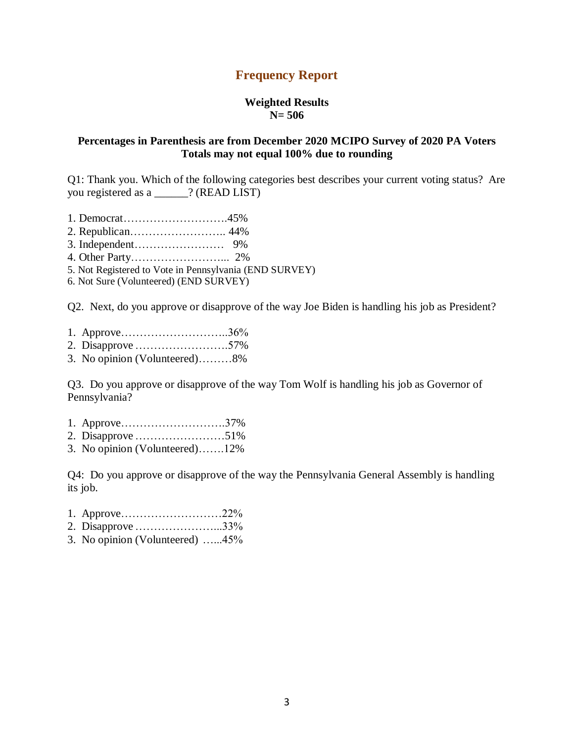## **Frequency Report**

#### **Weighted Results N= 506**

## **Percentages in Parenthesis are from December 2020 MCIPO Survey of 2020 PA Voters Totals may not equal 100% due to rounding**

Q1: Thank you. Which of the following categories best describes your current voting status? Are you registered as a \_\_\_\_\_\_? (READ LIST)

- 1. Democrat……………………….45%
- 2. Republican…………………….. 44%
- 3. Independent…………………… 9%
- 4. Other Party……………………... 2%
- 5. Not Registered to Vote in Pennsylvania (END SURVEY)

6. Not Sure (Volunteered) (END SURVEY)

Q2. Next, do you approve or disapprove of the way Joe Biden is handling his job as President?

|  |  | 60/ |
|--|--|-----|
|--|--|-----|

- 2. Disapprove…………………….57%
- 3. No opinion (Volunteered)………8%

Q3. Do you approve or disapprove of the way Tom Wolf is handling his job as Governor of Pennsylvania?

- 1. Approve……………………….37%
- 2. Disapprove……………………51%
- 3. No opinion (Volunteered)…….12%

Q4: Do you approve or disapprove of the way the Pennsylvania General Assembly is handling its job.

- 1. Approve………………………22%
- 2. Disapprove…………………...33%
- 3. No opinion (Volunteered) …...45%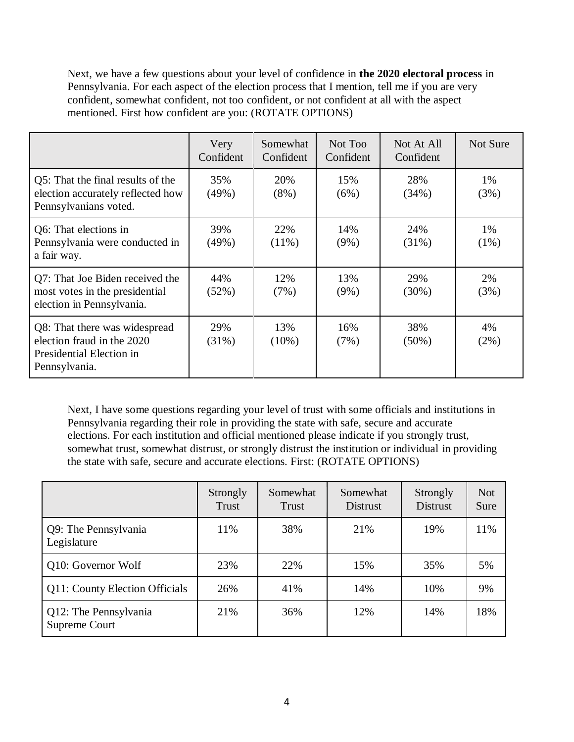Next, we have a few questions about your level of confidence in **the 2020 electoral process** in Pennsylvania. For each aspect of the election process that I mention, tell me if you are very confident, somewhat confident, not too confident, or not confident at all with the aspect mentioned. First how confident are you: (ROTATE OPTIONS)

|                                                                                                          | Very<br>Confident | Somewhat<br>Confident | Not Too<br>Confident | Not At All<br>Confident | Not Sure      |
|----------------------------------------------------------------------------------------------------------|-------------------|-----------------------|----------------------|-------------------------|---------------|
| Q5: That the final results of the<br>election accurately reflected how<br>Pennsylvanians voted.          | 35%<br>(49%)      | 20%<br>$(8\%)$        | 15%<br>(6%)          | 28%<br>(34%)            | 1%<br>(3%)    |
| Q6: That elections in<br>Pennsylvania were conducted in<br>a fair way.                                   | 39%<br>(49%)      | 22%<br>$(11\%)$       | 14%<br>$(9\%)$       | 24%<br>$(31\%)$         | 1%<br>$(1\%)$ |
| Q7: That Joe Biden received the<br>most votes in the presidential<br>election in Pennsylvania.           | 44%<br>(52%)      | 12%<br>(7%)           | 13%<br>$(9\%)$       | 29%<br>$(30\%)$         | 2%<br>(3%)    |
| Q8: That there was widespread<br>election fraud in the 2020<br>Presidential Election in<br>Pennsylvania. | 29%<br>$(31\%)$   | 13%<br>$(10\%)$       | 16%<br>(7%)          | 38%<br>$(50\%)$         | 4%<br>$(2\%)$ |

Next, I have some questions regarding your level of trust with some officials and institutions in Pennsylvania regarding their role in providing the state with safe, secure and accurate elections. For each institution and official mentioned please indicate if you strongly trust, somewhat trust, somewhat distrust, or strongly distrust the institution or individual in providing the state with safe, secure and accurate elections. First: (ROTATE OPTIONS)

|                                        | Strongly<br>Trust | Somewhat<br>Trust | Somewhat<br><b>Distrust</b> | Strongly<br><b>Distrust</b> | <b>Not</b><br>Sure |
|----------------------------------------|-------------------|-------------------|-----------------------------|-----------------------------|--------------------|
| Q9: The Pennsylvania<br>Legislature    | 11%               | 38%               | 21%                         | 19%                         | 11%                |
| Q10: Governor Wolf                     | 23%               | 22%               | 15%                         | 35%                         | 5%                 |
| Q11: County Election Officials         | 26%               | 41%               | 14%                         | 10%                         | 9%                 |
| Q12: The Pennsylvania<br>Supreme Court | 21%               | 36%               | 12%                         | 14%                         | 18%                |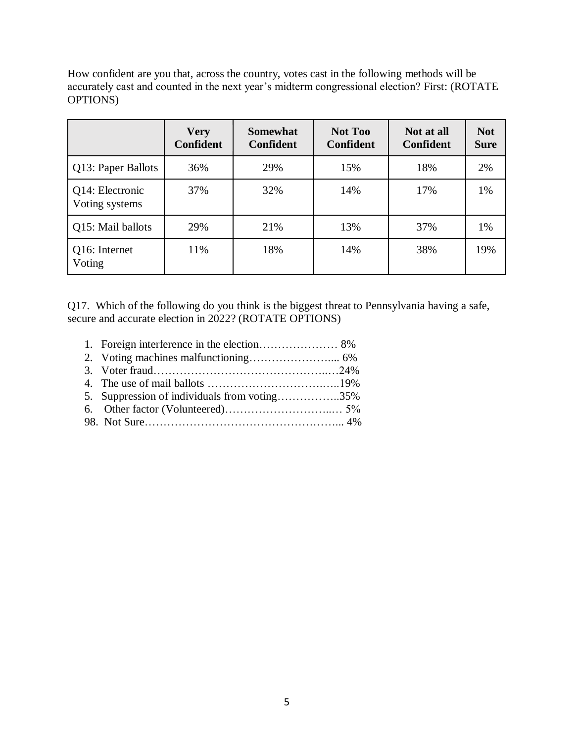How confident are you that, across the country, votes cast in the following methods will be accurately cast and counted in the next year's midterm congressional election? First: (ROTATE OPTIONS)

|                                   | <b>Very</b><br><b>Confident</b> | <b>Somewhat</b><br><b>Confident</b> | <b>Not Too</b><br>Confident | Not at all<br><b>Confident</b> | <b>Not</b><br><b>Sure</b> |
|-----------------------------------|---------------------------------|-------------------------------------|-----------------------------|--------------------------------|---------------------------|
| Q13: Paper Ballots                | 36%                             | 29%                                 | 15%                         | 18%                            | 2%                        |
| Q14: Electronic<br>Voting systems | 37%                             | 32%                                 | 14%                         | 17%                            | 1%                        |
| Q15: Mail ballots                 | 29%                             | 21%                                 | 13%                         | 37%                            | 1%                        |
| Q16: Internet<br>Voting           | 11%                             | 18%                                 | 14%                         | 38%                            | 19%                       |

Q17. Which of the following do you think is the biggest threat to Pennsylvania having a safe, secure and accurate election in 2022? (ROTATE OPTIONS)

1. Foreign interference in the election………………… 8% 2. Voting machines malfunctioning………………….... 6% 3. Voter fraud………………………………………..…24% 4. The use of mail ballots ………………………….…..19% 5. Suppression of individuals from voting……………..35% 6. Other factor (Volunteered)………………………..… 5% 98. Not Sure……………………………………………... 4%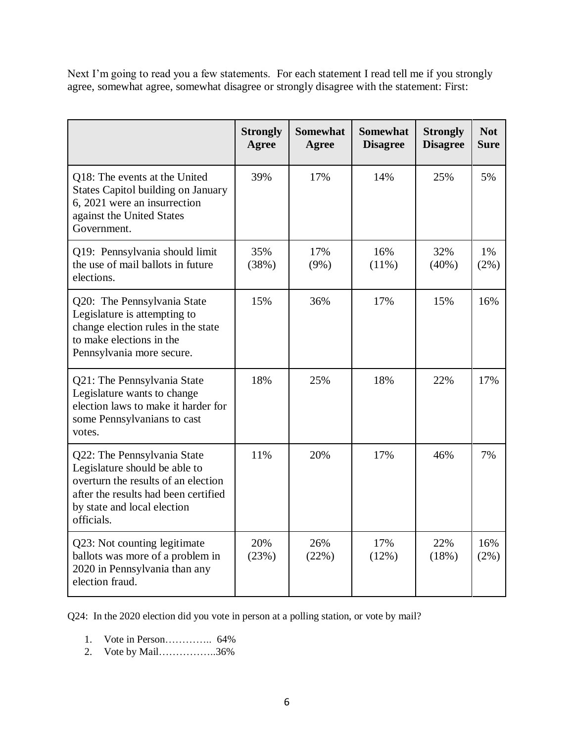Next I'm going to read you a few statements. For each statement I read tell me if you strongly agree, somewhat agree, somewhat disagree or strongly disagree with the statement: First:

|                                                                                                                                                                                          | <b>Strongly</b><br>Agree | <b>Somewhat</b><br><b>Agree</b> | <b>Somewhat</b><br><b>Disagree</b> | <b>Strongly</b><br><b>Disagree</b> | <b>Not</b><br><b>Sure</b> |
|------------------------------------------------------------------------------------------------------------------------------------------------------------------------------------------|--------------------------|---------------------------------|------------------------------------|------------------------------------|---------------------------|
| Q18: The events at the United<br><b>States Capitol building on January</b><br>6, 2021 were an insurrection<br>against the United States<br>Government.                                   | 39%                      | 17%                             | 14%                                | 25%                                | 5%                        |
| Q19: Pennsylvania should limit<br>the use of mail ballots in future<br>elections.                                                                                                        | 35%<br>(38%)             | 17%<br>$(9\%)$                  | 16%<br>$(11\%)$                    | 32%<br>$(40\%)$                    | 1%<br>$(2\%)$             |
| Q20: The Pennsylvania State<br>Legislature is attempting to<br>change election rules in the state<br>to make elections in the<br>Pennsylvania more secure.                               | 15%                      | 36%                             | 17%                                | 15%                                | 16%                       |
| Q21: The Pennsylvania State<br>Legislature wants to change<br>election laws to make it harder for<br>some Pennsylvanians to cast<br>votes.                                               | 18%                      | 25%                             | 18%                                | 22%                                | 17%                       |
| Q22: The Pennsylvania State<br>Legislature should be able to<br>overturn the results of an election<br>after the results had been certified<br>by state and local election<br>officials. | 11%                      | 20%                             | 17%                                | 46%                                | 7%                        |
| Q23: Not counting legitimate<br>ballots was more of a problem in<br>2020 in Pennsylvania than any<br>election fraud.                                                                     | 20%<br>(23%)             | 26%<br>(22%)                    | 17%<br>(12%)                       | 22%<br>(18%)                       | 16%<br>$(2\%)$            |

Q24: In the 2020 election did you vote in person at a polling station, or vote by mail?

- 1. Vote in Person………….. 64%
- 2. Vote by Mail……………..36%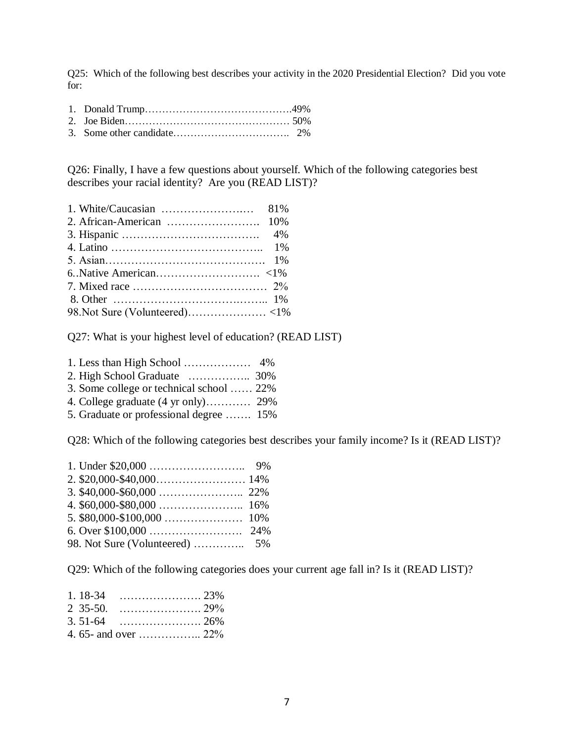Q25: Which of the following best describes your activity in the 2020 Presidential Election? Did you vote for:

Q26: Finally, I have a few questions about yourself. Which of the following categories best describes your racial identity? Are you (READ LIST)?

Q27: What is your highest level of education? (READ LIST)

| 3. Some college or technical school  22% |  |
|------------------------------------------|--|
|                                          |  |
| 5. Graduate or professional degree  15%  |  |

Q28: Which of the following categories best describes your family income? Is it (READ LIST)?

Q29: Which of the following categories does your current age fall in? Is it (READ LIST)?

| $1.18 - 34$ |  |
|-------------|--|
| $2, 35-50.$ |  |
|             |  |
|             |  |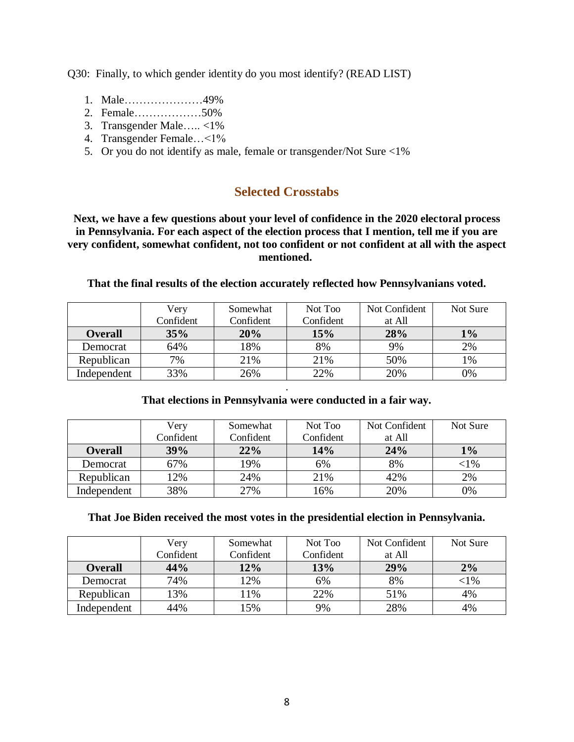Q30: Finally, to which gender identity do you most identify? (READ LIST)

- 1. Male…………………49%
- 2. Female………………50%
- 3. Transgender Male….. <1%
- 4. Transgender Female…<1%
- 5. Or you do not identify as male, female or transgender/Not Sure <1%

## **Selected Crosstabs**

**Next, we have a few questions about your level of confidence in the 2020 electoral process in Pennsylvania. For each aspect of the election process that I mention, tell me if you are very confident, somewhat confident, not too confident or not confident at all with the aspect mentioned.**

|                | Very      | Somewhat  | Not Too   | Not Confident | Not Sure |
|----------------|-----------|-----------|-----------|---------------|----------|
|                | Confident | Confident | Confident | at All        |          |
| <b>Overall</b> | 35%       | 20%       | 15%       | 28%           | $1\%$    |
| Democrat       | 64%       | 18%       | 8%        | 9%            | 2%       |
| Republican     | 7%        | 21%       | 21%       | 50%           | 1%       |
| Independent    | 33%       | 26%       | 22%       | 20%           | 0%       |

## **That the final results of the election accurately reflected how Pennsylvanians voted.**

## . **That elections in Pennsylvania were conducted in a fair way.**

|                | Verv      | Somewhat  | Not Too   | Not Confident | Not Sure  |
|----------------|-----------|-----------|-----------|---------------|-----------|
|                | Confident | Confident | Confident | at All        |           |
| <b>Overall</b> | 39%       | 22%       | 14%       | 24%           | 1%        |
| Democrat       | 67%       | 19%       | 6%        | 8%            | $<$ l $%$ |
| Republican     | 12%       | 24%       | 21%       | 42%           | 2%        |
| Independent    | 38%       | 27%       | 16%       | 20%           | 0%        |

## **That Joe Biden received the most votes in the presidential election in Pennsylvania.**

|                | Very      | Somewhat  | Not Too   | Not Confident | Not Sure  |
|----------------|-----------|-----------|-----------|---------------|-----------|
|                | Confident | Confident | Confident | at All        |           |
| <b>Overall</b> | 44%       | 12%       | 13%       | 29%           | 2%        |
| Democrat       | 74%       | 12%       | 6%        | 8%            | $<$ l $%$ |
| Republican     | 13%       | 11%       | 22%       | 51%           | 4%        |
| Independent    | 44%       | 15%       | 9%        | 28%           | 4%        |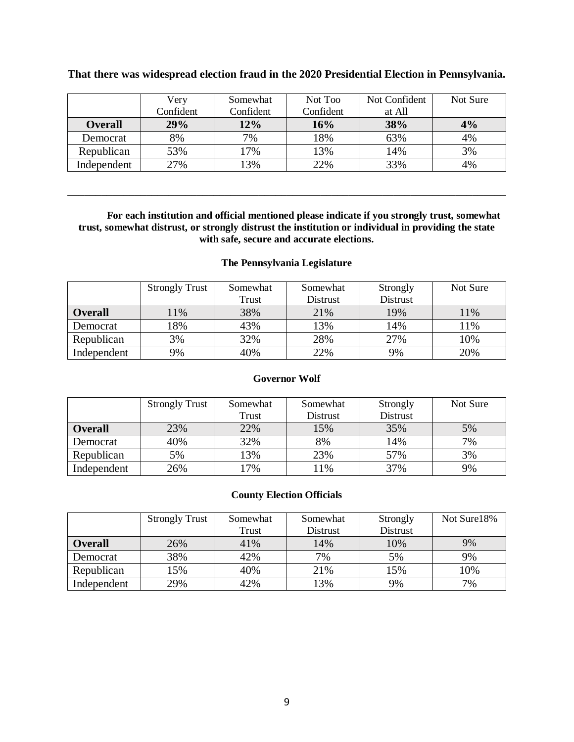|                | Very      | Somewhat  | Not Too   | Not Confident | Not Sure |
|----------------|-----------|-----------|-----------|---------------|----------|
|                | Confident | Confident | Confident | at All        |          |
| <b>Overall</b> | 29%       | 12%       | 16%       | 38%           | 4%       |
| Democrat       | 8%        | 7%        | 18%       | 63%           | 4%       |
| Republican     | 53%       | 17%       | 13%       | 14%           | 3%       |
| Independent    | 27%       | 13%       | 22%       | 33%           | 4%       |

## **That there was widespread election fraud in the 2020 Presidential Election in Pennsylvania.**

**For each institution and official mentioned please indicate if you strongly trust, somewhat trust, somewhat distrust, or strongly distrust the institution or individual in providing the state with safe, secure and accurate elections.**

\_\_\_\_\_\_\_\_\_\_\_\_\_\_\_\_\_\_\_\_\_\_\_\_\_\_\_\_\_\_\_\_\_\_\_\_\_\_\_\_\_\_\_\_\_\_\_\_\_\_\_\_\_\_\_\_\_\_\_\_\_\_\_\_\_\_\_\_\_\_\_\_\_\_\_\_\_\_

#### **The Pennsylvania Legislature**

|                | <b>Strongly Trust</b> | Somewhat | Somewhat | Strongly        | Not Sure |
|----------------|-----------------------|----------|----------|-----------------|----------|
|                |                       | Trust    | Distrust | <b>Distrust</b> |          |
| <b>Overall</b> | 11%                   | 38%      | 21%      | 19%             | 11%      |
| Democrat       | 18%                   | 43%      | 13%      | 14%             | 11%      |
| Republican     | 3%                    | 32%      | 28%      | 27%             | 10%      |
| Independent    | 9%                    | 40%      | 22%      | 9%              | 20%      |

#### **Governor Wolf**

|                | <b>Strongly Trust</b> | Somewhat | Somewhat | Strongly        | Not Sure |
|----------------|-----------------------|----------|----------|-----------------|----------|
|                |                       | Trust    | Distrust | <b>Distrust</b> |          |
| <b>Overall</b> | 23%                   | 22%      | 15%      | 35%             | 5%       |
| Democrat       | 40%                   | 32%      | 8%       | 14%             | 7%       |
| Republican     | 5%                    | 13%      | 23%      | 57%             | 3%       |
| Independent    | 26%                   | 17%      | 11%      | 37%             | 9%       |

#### **County Election Officials**

|                | <b>Strongly Trust</b> | Somewhat | Somewhat | Strongly        | Not Sure18% |
|----------------|-----------------------|----------|----------|-----------------|-------------|
|                |                       | Trust    | Distrust | <b>Distrust</b> |             |
| <b>Overall</b> | 26%                   | 41%      | 14%      | 10%             | 9%          |
| Democrat       | 38%                   | 42%      | 7%       | 5%              | 9%          |
| Republican     | 15%                   | 40%      | 21%      | 15%             | 10%         |
| Independent    | 29%                   | 42%      | 13%      | 9%              | 7%          |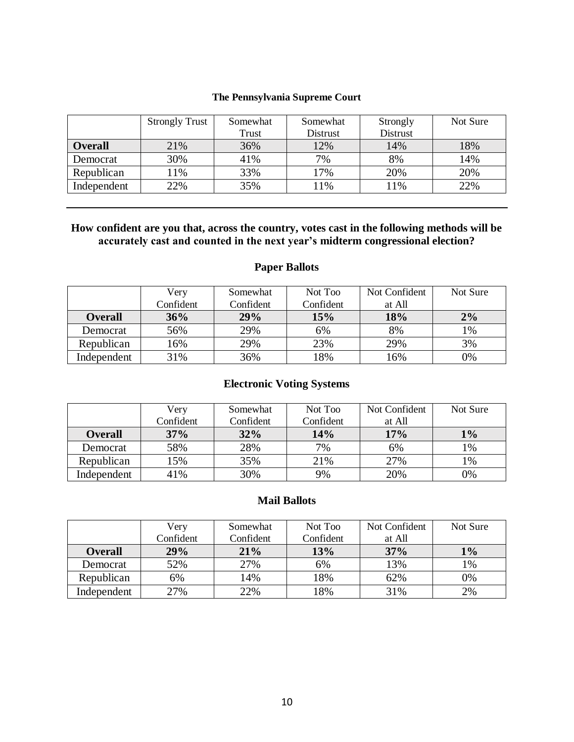#### **The Pennsylvania Supreme Court**

|                | <b>Strongly Trust</b> | Somewhat | Somewhat | Strongly | Not Sure |
|----------------|-----------------------|----------|----------|----------|----------|
|                |                       | Trust    | Distrust | Distrust |          |
| <b>Overall</b> | 21%                   | 36%      | 12%      | 14%      | 18%      |
| Democrat       | 30%                   | 41%      | 7%       | 8%       | 14%      |
| Republican     | 11%                   | 33%      | 17%      | 20%      | 20%      |
| Independent    | 22%                   | 35%      | 1%       | 11%      | 22%      |

## **How confident are you that, across the country, votes cast in the following methods will be accurately cast and counted in the next year's midterm congressional election?**

## **Paper Ballots**

|                | Very      | Somewhat  | Not Too   | Not Confident | Not Sure |
|----------------|-----------|-----------|-----------|---------------|----------|
|                | Confident | Confident | Confident | at All        |          |
| <b>Overall</b> | 36%       | 29%       | 15%       | 18%           | 2%       |
| Democrat       | 56%       | 29%       | 6%        | 8%            | 1%       |
| Republican     | 16%       | 29%       | 23%       | 29%           | 3%       |
| Independent    | 31%       | 36%       | 18%       | 16%           | 0%       |

## **Electronic Voting Systems**

|                | Very      | Somewhat  | Not Too   | Not Confident | Not Sure |
|----------------|-----------|-----------|-----------|---------------|----------|
|                | Confident | Confident | Confident | at All        |          |
| <b>Overall</b> | 37%       | 32%       | 14%       | 17%           | $1\%$    |
| Democrat       | 58%       | 28%       | 7%        | 6%            | 1%       |
| Republican     | 15%       | 35%       | 21%       | 27%           | 1%       |
| Independent    | 41%       | 30%       | 9%        | 20%           | 0%       |

## **Mail Ballots**

|                | Very      | Somewhat  | Not Too   | Not Confident | Not Sure |
|----------------|-----------|-----------|-----------|---------------|----------|
|                | Confident | Confident | Confident | at All        |          |
| <b>Overall</b> | 29%       | 21%       | 13%       | 37%           | $1\%$    |
| Democrat       | 52%       | 27%       | 6%        | 13%           | 1%       |
| Republican     | 6%        | 14%       | 18%       | 62%           | 0%       |
| Independent    | 27%       | 22%       | 18%       | 31%           | 2%       |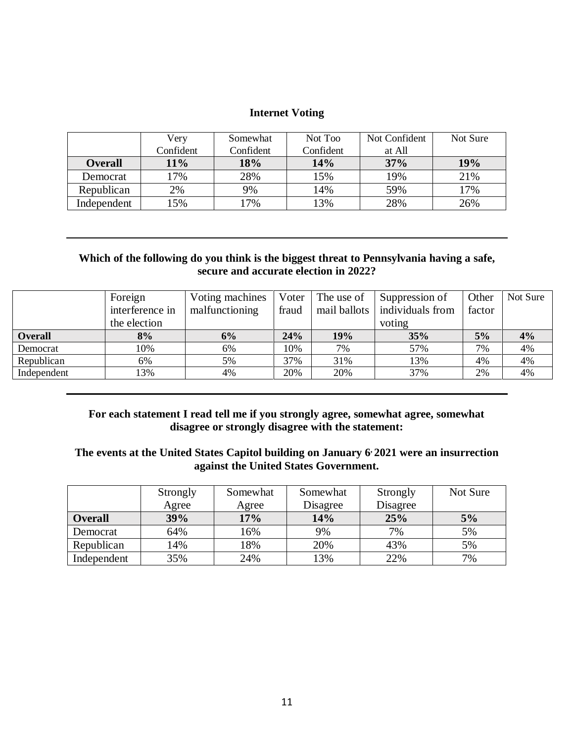## **Internet Voting**

|                | Very      | Somewhat  | Not Too   | Not Confident | Not Sure |
|----------------|-----------|-----------|-----------|---------------|----------|
|                | Confident | Confident | Confident | at All        |          |
| <b>Overall</b> | 11%       | 18%       | 14%       | 37%           | 19%      |
| Democrat       | 17%       | 28%       | 15%       | 19%           | 21%      |
| Republican     | 2%        | 9%        | 14%       | 59%           | 17%      |
| Independent    | .5%       | 7%        | $13\%$    | 28%           | 26%      |

## **Which of the following do you think is the biggest threat to Pennsylvania having a safe, secure and accurate election in 2022?**

|                | Foreign         | Voting machines | Voter | The use of   | Suppression of   | Other  | Not Sure |
|----------------|-----------------|-----------------|-------|--------------|------------------|--------|----------|
|                | interference in | malfunctioning  | fraud | mail ballots | individuals from | factor |          |
|                | the election    |                 |       |              | voting           |        |          |
| <b>Overall</b> | 8%              | 6%              | 24%   | 19%          | 35%              | 5%     | 4%       |
| Democrat       | 10%             | 6%              | 10%   | 7%           | 57%              | 7%     | 4%       |
| Republican     | 6%              | 5%              | 37%   | 31%          | 13%              | 4%     | 4%       |
| Independent    | 13%             | 4%              | 20%   | 20%          | 37%              | 2%     | 4%       |

## **For each statement I read tell me if you strongly agree, somewhat agree, somewhat disagree or strongly disagree with the statement:**

## **The events at the United States Capitol building on January 6, 2021 were an insurrection against the United States Government.**

|                | Strongly | Somewhat | Somewhat | Strongly | Not Sure |
|----------------|----------|----------|----------|----------|----------|
|                | Agree    | Agree    | Disagree | Disagree |          |
| <b>Overall</b> | 39%      | 17%      | 14%      | 25%      | 5%       |
| Democrat       | 64%      | 16%      | 9%       | 7%       | 5%       |
| Republican     | 14%      | 18%      | 20%      | 43%      | 5%       |
| Independent    | 35%      | 24%      | 13%      | 22%      | 7%       |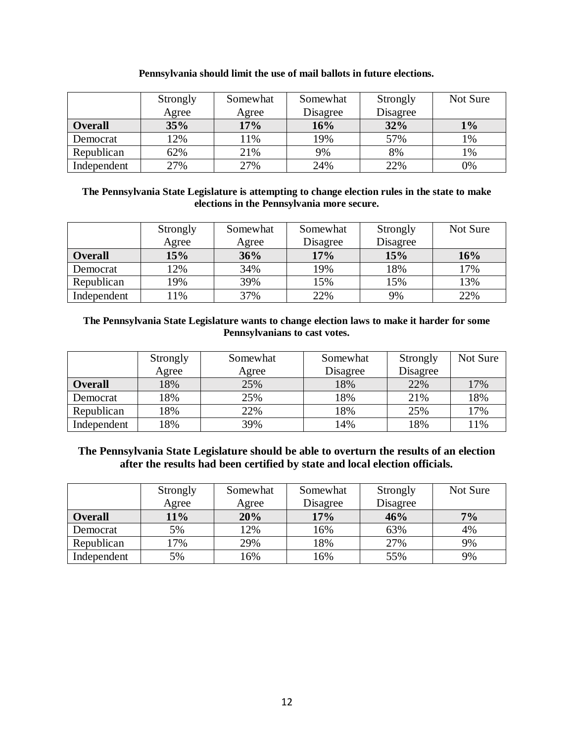|                | Strongly<br>Agree | Somewhat<br>Agree | Somewhat<br>Disagree | Strongly<br>Disagree | Not Sure |
|----------------|-------------------|-------------------|----------------------|----------------------|----------|
| <b>Overall</b> | 35%               | 17%               | 16%                  | 32%                  | $1\%$    |
| Democrat       | 12%               | 11%               | 19%                  | 57%                  | 1%       |
| Republican     | 62%               | 21%               | 9%                   | 8%                   | 1%       |
| Independent    | 27%               | 27%               | 24%                  | 22%                  | 0%       |

#### **Pennsylvania should limit the use of mail ballots in future elections.**

#### **The Pennsylvania State Legislature is attempting to change election rules in the state to make elections in the Pennsylvania more secure.**

|                | Strongly | Somewhat | Somewhat | Strongly | Not Sure |
|----------------|----------|----------|----------|----------|----------|
|                | Agree    | Agree    | Disagree | Disagree |          |
| <b>Overall</b> | 15%      | 36%      | 17%      | 15%      | 16%      |
| Democrat       | 12%      | 34%      | 19%      | 18%      | 17%      |
| Republican     | 19%      | 39%      | 15%      | 15%      | 13%      |
| Independent    | $1\%$    | 37%      | 22%      | 9%       | 22%      |

### **The Pennsylvania State Legislature wants to change election laws to make it harder for some Pennsylvanians to cast votes.**

|                | Strongly | Somewhat | Somewhat | Strongly | Not Sure |
|----------------|----------|----------|----------|----------|----------|
|                | Agree    | Agree    | Disagree | Disagree |          |
| <b>Overall</b> | 18%      | 25%      | 18%      | 22%      | 17%      |
| Democrat       | 18%      | 25%      | 18%      | 21%      | 18%      |
| Republican     | 18%      | 22%      | 18%      | 25%      | 17%      |
| Independent    | 18%      | 39%      | 14%      | 18%      | 11%      |

## **The Pennsylvania State Legislature should be able to overturn the results of an election after the results had been certified by state and local election officials.**

|                | Strongly | Somewhat | Somewhat | Strongly | Not Sure |
|----------------|----------|----------|----------|----------|----------|
|                | Agree    | Agree    | Disagree | Disagree |          |
| <b>Overall</b> | 11%      | 20%      | 17%      | 46%      | 7%       |
| Democrat       | 5%       | 12%      | 16%      | 63%      | 4%       |
| Republican     | 17%      | 29%      | 18%      | 27%      | 9%       |
| Independent    | 5%       | 16%      | 16%      | 55%      | 9%       |